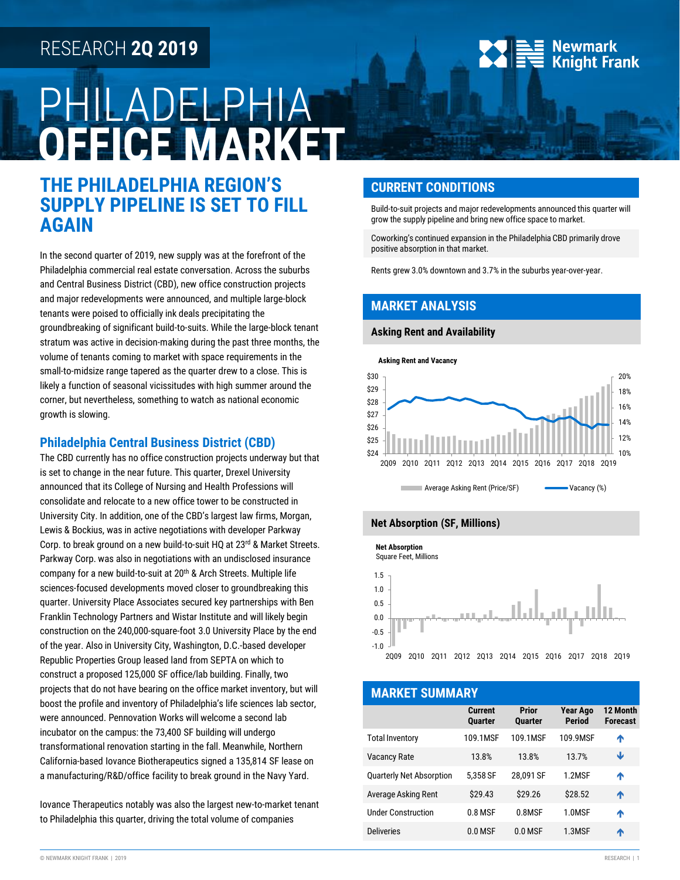## RESEARCH **2Q 2019**

# PHILADELPHIA **OFFICE MARKET**

## **THE PHILADELPHIA REGION'S SUPPLY PIPELINE IS SET TO FILL AGAIN**

In the second quarter of 2019, new supply was at the forefront of the Philadelphia commercial real estate conversation. Across the suburbs and Central Business District (CBD), new office construction projects and major redevelopments were announced, and multiple large-block tenants were poised to officially ink deals precipitating the groundbreaking of significant build-to-suits. While the large-block tenant stratum was active in decision-making during the past three months, the volume of tenants coming to market with space requirements in the small-to-midsize range tapered as the quarter drew to a close. This is likely a function of seasonal vicissitudes with high summer around the corner, but nevertheless, something to watch as national economic growth is slowing.

#### **Philadelphia Central Business District (CBD)**

The CBD currently has no office construction projects underway but that is set to change in the near future. This quarter, Drexel University announced that its College of Nursing and Health Professions will consolidate and relocate to a new office tower to be constructed in University City. In addition, one of the CBD's largest law firms, Morgan, Lewis & Bockius, was in active negotiations with developer Parkway Corp. to break ground on a new build-to-suit HQ at 23rd & Market Streets. Parkway Corp. was also in negotiations with an undisclosed insurance company for a new build-to-suit at 20<sup>th</sup> & Arch Streets. Multiple life sciences-focused developments moved closer to groundbreaking this quarter. University Place Associates secured key partnerships with Ben Franklin Technology Partners and Wistar Institute and will likely begin construction on the 240,000-square-foot 3.0 University Place by the end of the year. Also in University City, Washington, D.C.-based developer Republic Properties Group leased land from SEPTA on which to construct a proposed 125,000 SF office/lab building. Finally, two projects that do not have bearing on the office market inventory, but will boost the profile and inventory of Philadelphia's life sciences lab sector, were announced. Pennovation Works will welcome a second lab incubator on the campus: the 73,400 SF building will undergo transformational renovation starting in the fall. Meanwhile, Northern California-based Iovance Biotherapeutics signed a 135,814 SF lease on a manufacturing/R&D/office facility to break ground in the Navy Yard.

Iovance Therapeutics notably was also the largest new-to-market tenant to Philadelphia this quarter, driving the total volume of companies

#### **CURRENT CONDITIONS**

Build-to-suit projects and major redevelopments announced this quarter will grow the supply pipeline and bring new office space to market.

**Newmark Knight Frank** 

Coworking's continued expansion in the Philadelphia CBD primarily drove positive absorption in that market.

Rents grew 3.0% downtown and 3.7% in the suburbs year-over-year.

#### **MARKET ANALYSIS**

#### **Asking Rent and Availability**







| <b>MARKET SUMMARY</b>           |                                  |                                |                                  |                             |  |  |  |
|---------------------------------|----------------------------------|--------------------------------|----------------------------------|-----------------------------|--|--|--|
|                                 | <b>Current</b><br><b>Quarter</b> | <b>Prior</b><br><b>Quarter</b> | <b>Year Ago</b><br><b>Period</b> | 12 Month<br><b>Forecast</b> |  |  |  |
| <b>Total Inventory</b>          | 109.1MSF                         | 109.1MSF                       | 109.9MSF                         | ↑                           |  |  |  |
| <b>Vacancy Rate</b>             | 13.8%                            | 13.8%                          | 13.7%                            | Ψ                           |  |  |  |
| <b>Quarterly Net Absorption</b> | 5.358 SF                         | 28.091 SF                      | 1.2MSF                           | Λ                           |  |  |  |
| Average Asking Rent             | \$29.43                          | \$29.26                        | \$28.52                          | ᠰ                           |  |  |  |
| <b>Under Construction</b>       | 0.8 MSF                          | 0.8MSF                         | 1.0MSF                           | ₳                           |  |  |  |
| <b>Deliveries</b>               | $0.0$ MSF                        | $0.0$ MSF                      | 1.3MSF                           | ᠰ                           |  |  |  |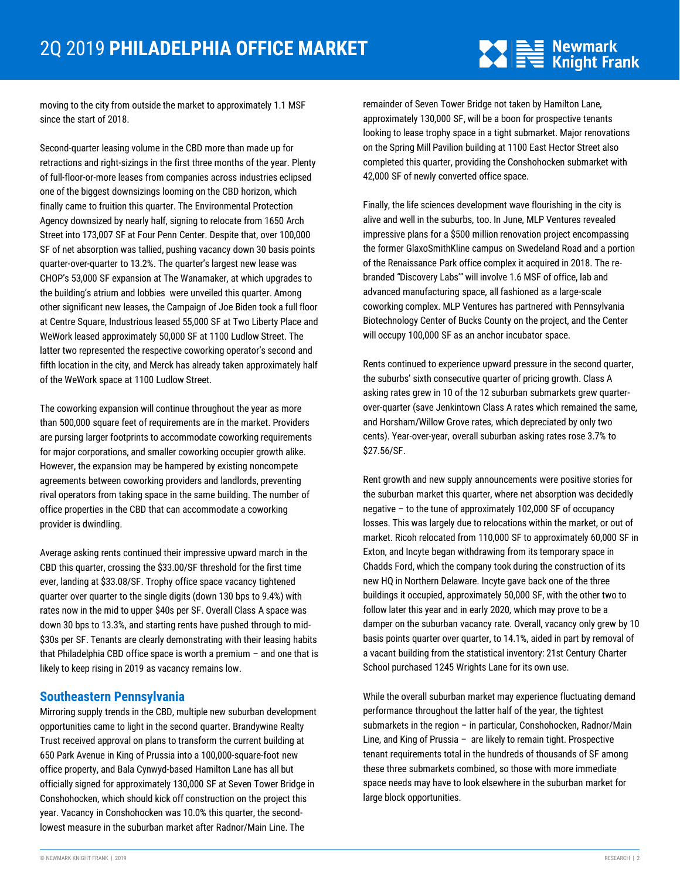## $\sum_{n=1}^{\infty} \frac{1}{n} \sum_{n=1}^{\infty} \frac{1}{n} \sum_{n=1}^{\infty}$  Knight Frank

moving to the city from outside the market to approximately 1.1 MSF since the start of 2018.

Second-quarter leasing volume in the CBD more than made up for retractions and right-sizings in the first three months of the year. Plenty of full-floor-or-more leases from companies across industries eclipsed one of the biggest downsizings looming on the CBD horizon, which finally came to fruition this quarter. The Environmental Protection Agency downsized by nearly half, signing to relocate from 1650 Arch Street into 173,007 SF at Four Penn Center. Despite that, over 100,000 SF of net absorption was tallied, pushing vacancy down 30 basis points quarter-over-quarter to 13.2%. The quarter's largest new lease was CHOP's 53,000 SF expansion at The Wanamaker, at which upgrades to the building's atrium and lobbies were unveiled this quarter. Among other significant new leases, the Campaign of Joe Biden took a full floor at Centre Square, Industrious leased 55,000 SF at Two Liberty Place and WeWork leased approximately 50,000 SF at 1100 Ludlow Street. The latter two represented the respective coworking operator's second and fifth location in the city, and Merck has already taken approximately half of the WeWork space at 1100 Ludlow Street.

The coworking expansion will continue throughout the year as more than 500,000 square feet of requirements are in the market. Providers are pursing larger footprints to accommodate coworking requirements for major corporations, and smaller coworking occupier growth alike. However, the expansion may be hampered by existing noncompete agreements between coworking providers and landlords, preventing rival operators from taking space in the same building. The number of office properties in the CBD that can accommodate a coworking provider is dwindling.

Average asking rents continued their impressive upward march in the CBD this quarter, crossing the \$33.00/SF threshold for the first time ever, landing at \$33.08/SF. Trophy office space vacancy tightened quarter over quarter to the single digits (down 130 bps to 9.4%) with rates now in the mid to upper \$40s per SF. Overall Class A space was down 30 bps to 13.3%, and starting rents have pushed through to mid- \$30s per SF. Tenants are clearly demonstrating with their leasing habits that Philadelphia CBD office space is worth a premium – and one that is likely to keep rising in 2019 as vacancy remains low.

#### **Southeastern Pennsylvania**

Mirroring supply trends in the CBD, multiple new suburban development opportunities came to light in the second quarter. Brandywine Realty Trust received approval on plans to transform the current building at 650 Park Avenue in King of Prussia into a 100,000-square-foot new office property, and Bala Cynwyd-based Hamilton Lane has all but officially signed for approximately 130,000 SF at Seven Tower Bridge in Conshohocken, which should kick off construction on the project this year. Vacancy in Conshohocken was 10.0% this quarter, the secondlowest measure in the suburban market after Radnor/Main Line. The

remainder of Seven Tower Bridge not taken by Hamilton Lane, approximately 130,000 SF, will be a boon for prospective tenants looking to lease trophy space in a tight submarket. Major renovations on the Spring Mill Pavilion building at 1100 East Hector Street also completed this quarter, providing the Conshohocken submarket with 42,000 SF of newly converted office space.

Finally, the life sciences development wave flourishing in the city is alive and well in the suburbs, too. In June, MLP Ventures revealed impressive plans for a \$500 million renovation project encompassing the former GlaxoSmithKline campus on Swedeland Road and a portion of the Renaissance Park office complex it acquired in 2018. The rebranded "Discovery Labs'" will involve 1.6 MSF of office, lab and advanced manufacturing space, all fashioned as a large-scale coworking complex. MLP Ventures has partnered with Pennsylvania Biotechnology Center of Bucks County on the project, and the Center will occupy 100,000 SF as an anchor incubator space.

Rents continued to experience upward pressure in the second quarter, the suburbs' sixth consecutive quarter of pricing growth. Class A asking rates grew in 10 of the 12 suburban submarkets grew quarterover-quarter (save Jenkintown Class A rates which remained the same, and Horsham/Willow Grove rates, which depreciated by only two cents). Year-over-year, overall suburban asking rates rose 3.7% to \$27.56/SF.

Rent growth and new supply announcements were positive stories for the suburban market this quarter, where net absorption was decidedly negative – to the tune of approximately 102,000 SF of occupancy losses. This was largely due to relocations within the market, or out of market. Ricoh relocated from 110,000 SF to approximately 60,000 SF in Exton, and Incyte began withdrawing from its temporary space in Chadds Ford, which the company took during the construction of its new HQ in Northern Delaware. Incyte gave back one of the three buildings it occupied, approximately 50,000 SF, with the other two to follow later this year and in early 2020, which may prove to be a damper on the suburban vacancy rate. Overall, vacancy only grew by 10 basis points quarter over quarter, to 14.1%, aided in part by removal of a vacant building from the statistical inventory: 21st Century Charter School purchased 1245 Wrights Lane for its own use.

While the overall suburban market may experience fluctuating demand performance throughout the latter half of the year, the tightest submarkets in the region – in particular, Conshohocken, Radnor/Main Line, and King of Prussia – are likely to remain tight. Prospective tenant requirements total in the hundreds of thousands of SF among these three submarkets combined, so those with more immediate space needs may have to look elsewhere in the suburban market for large block opportunities.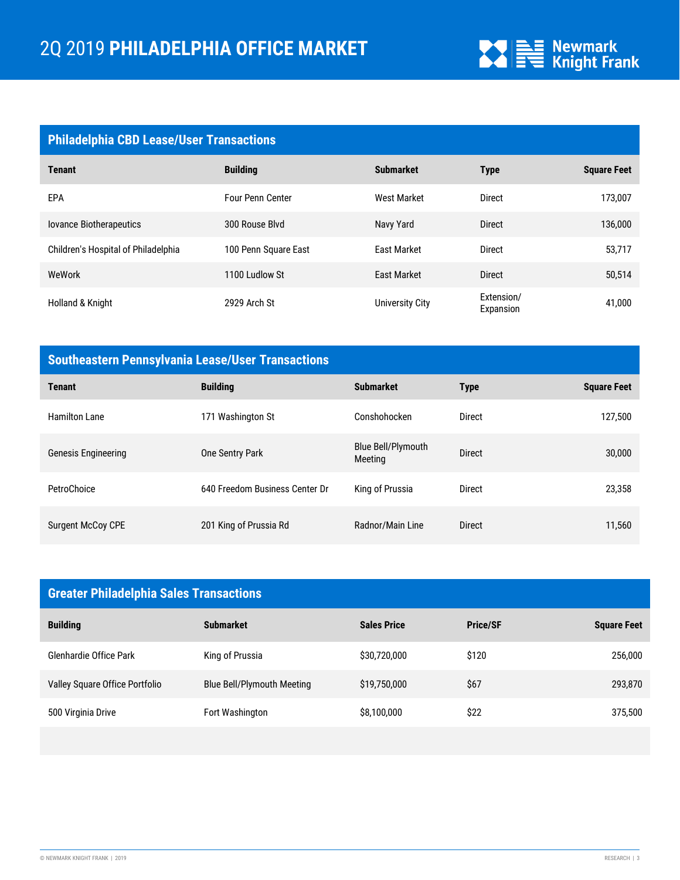

| <b>Philadelphia CBD Lease/User Transactions</b> |                         |                        |                         |                    |  |  |
|-------------------------------------------------|-------------------------|------------------------|-------------------------|--------------------|--|--|
| <b>Tenant</b>                                   | <b>Building</b>         | <b>Submarket</b>       | <b>Type</b>             | <b>Square Feet</b> |  |  |
| <b>EPA</b>                                      | <b>Four Penn Center</b> | <b>West Market</b>     | <b>Direct</b>           | 173,007            |  |  |
| <b>lovance Biotherapeutics</b>                  | 300 Rouse Blvd          | Navy Yard              | <b>Direct</b>           | 136,000            |  |  |
| Children's Hospital of Philadelphia             | 100 Penn Square East    | <b>East Market</b>     | <b>Direct</b>           | 53,717             |  |  |
| WeWork                                          | 1100 Ludlow St          | <b>East Market</b>     | <b>Direct</b>           | 50,514             |  |  |
| Holland & Knight                                | 2929 Arch St            | <b>University City</b> | Extension/<br>Expansion | 41,000             |  |  |

## **Southeastern Pennsylvania Lease/User Transactions**

| <b>Tenant</b>            | <b>Building</b>                | <b>Submarket</b>              | <b>Type</b>   | <b>Square Feet</b> |
|--------------------------|--------------------------------|-------------------------------|---------------|--------------------|
| <b>Hamilton Lane</b>     | 171 Washington St              | Conshohocken                  | Direct        | 127,500            |
| Genesis Engineering      | One Sentry Park                | Blue Bell/Plymouth<br>Meeting | <b>Direct</b> | 30,000             |
| PetroChoice              | 640 Freedom Business Center Dr | King of Prussia               | <b>Direct</b> | 23,358             |
| <b>Surgent McCoy CPE</b> | 201 King of Prussia Rd         | Radnor/Main Line              | <b>Direct</b> | 11,560             |

| <b>Greater Philadelphia Sales Transactions</b> |                            |                    |                 |                    |  |
|------------------------------------------------|----------------------------|--------------------|-----------------|--------------------|--|
| <b>Building</b>                                | <b>Submarket</b>           | <b>Sales Price</b> | <b>Price/SF</b> | <b>Square Feet</b> |  |
| Glenhardie Office Park                         | King of Prussia            | \$30,720,000       | \$120           | 256,000            |  |
| Valley Square Office Portfolio                 | Blue Bell/Plymouth Meeting | \$19,750,000       | \$67            | 293,870            |  |
| 500 Virginia Drive                             | Fort Washington            | \$8,100,000        | \$22            | 375,500            |  |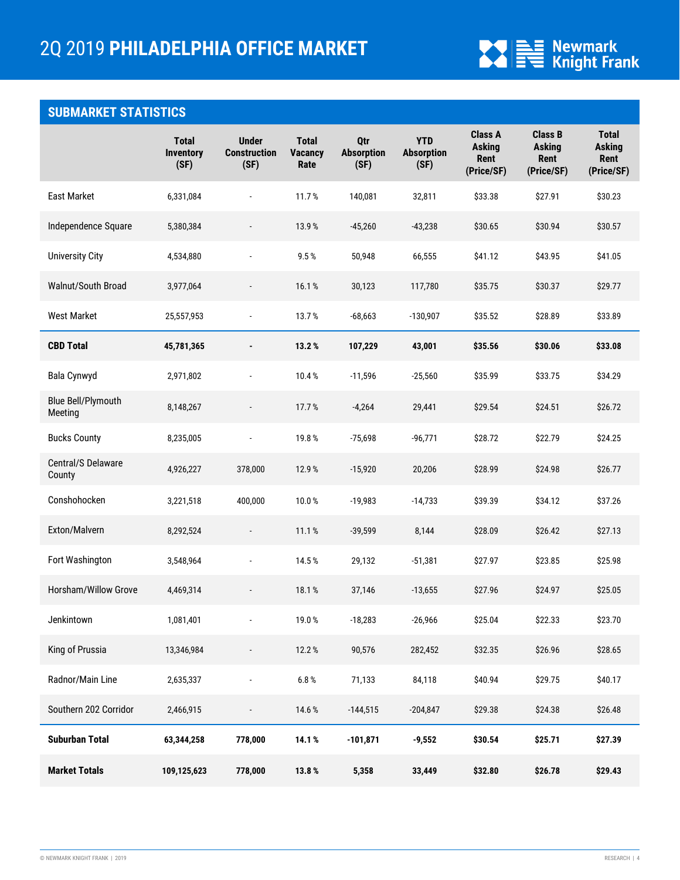

## **SUBMARKET STATISTICS**

|                               | <b>Total</b><br><b>Inventory</b><br>(SF) | <b>Under</b><br><b>Construction</b><br>(SF) | <b>Total</b><br><b>Vacancy</b><br>Rate | Qtr<br><b>Absorption</b><br>(SF) | <b>YTD</b><br><b>Absorption</b><br>(SF) | <b>Class A</b><br><b>Asking</b><br>Rent<br>(Price/SF) | <b>Class B</b><br><b>Asking</b><br>Rent<br>(Price/SF) | <b>Total</b><br><b>Asking</b><br>Rent<br>(Price/SF) |
|-------------------------------|------------------------------------------|---------------------------------------------|----------------------------------------|----------------------------------|-----------------------------------------|-------------------------------------------------------|-------------------------------------------------------|-----------------------------------------------------|
| <b>East Market</b>            | 6,331,084                                | $\blacksquare$                              | 11.7%                                  | 140.081                          | 32,811                                  | \$33.38                                               | \$27.91                                               | \$30.23                                             |
| Independence Square           | 5,380,384                                | $\overline{\phantom{a}}$                    | 13.9%                                  | $-45,260$                        | $-43,238$                               | \$30.65                                               | \$30.94                                               | \$30.57                                             |
| <b>University City</b>        | 4,534,880                                | $\overline{a}$                              | 9.5%                                   | 50,948                           | 66,555                                  | \$41.12                                               | \$43.95                                               | \$41.05                                             |
| Walnut/South Broad            | 3,977,064                                | $\overline{\phantom{a}}$                    | 16.1%                                  | 30,123                           | 117,780                                 | \$35.75                                               | \$30.37                                               | \$29.77                                             |
| <b>West Market</b>            | 25,557,953                               | $\overline{\phantom{a}}$                    | 13.7%                                  | $-68,663$                        | $-130,907$                              | \$35.52                                               | \$28.89                                               | \$33.89                                             |
| <b>CBD Total</b>              | 45,781,365                               | $\blacksquare$                              | 13.2%                                  | 107,229                          | 43,001                                  | \$35.56                                               | \$30.06                                               | \$33.08                                             |
| Bala Cynwyd                   | 2,971,802                                | $\overline{\phantom{a}}$                    | 10.4%                                  | $-11,596$                        | $-25,560$                               | \$35.99                                               | \$33.75                                               | \$34.29                                             |
| Blue Bell/Plymouth<br>Meeting | 8,148,267                                | $\overline{\phantom{a}}$                    | 17.7%                                  | $-4,264$                         | 29,441                                  | \$29.54                                               | \$24.51                                               | \$26.72                                             |
| <b>Bucks County</b>           | 8,235,005                                | $\frac{1}{2}$                               | 19.8%                                  | $-75,698$                        | $-96,771$                               | \$28.72                                               | \$22.79                                               | \$24.25                                             |
| Central/S Delaware<br>County  | 4,926,227                                | 378,000                                     | 12.9%                                  | $-15,920$                        | 20,206                                  | \$28.99                                               | \$24.98                                               | \$26.77                                             |
| Conshohocken                  | 3,221,518                                | 400,000                                     | 10.0%                                  | $-19,983$                        | $-14,733$                               | \$39.39                                               | \$34.12                                               | \$37.26                                             |
| Exton/Malvern                 | 8,292,524                                | $\overline{\phantom{a}}$                    | 11.1%                                  | $-39,599$                        | 8,144                                   | \$28.09                                               | \$26.42                                               | \$27.13                                             |
| Fort Washington               | 3,548,964                                | $\frac{1}{2}$                               | 14.5%                                  | 29,132                           | $-51,381$                               | \$27.97                                               | \$23.85                                               | \$25.98                                             |
| Horsham/Willow Grove          | 4,469,314                                | $\overline{\phantom{a}}$                    | 18.1%                                  | 37,146                           | $-13,655$                               | \$27.96                                               | \$24.97                                               | \$25.05                                             |
| Jenkintown                    | 1,081,401                                |                                             | 19.0%                                  | $-18,283$                        | $-26,966$                               | \$25.04                                               | \$22.33                                               | \$23.70                                             |
| King of Prussia               | 13,346,984                               |                                             | 12.2%                                  | 90,576                           | 282,452                                 | \$32.35                                               | \$26.96                                               | \$28.65                                             |
| Radnor/Main Line              | 2,635,337                                |                                             | $6.8\,\%$                              | 71,133                           | 84,118                                  | \$40.94                                               | \$29.75                                               | \$40.17                                             |
| Southern 202 Corridor         | 2,466,915                                |                                             | 14.6%                                  | $-144,515$                       | $-204,847$                              | \$29.38                                               | \$24.38                                               | \$26.48                                             |
| <b>Suburban Total</b>         | 63,344,258                               | 778,000                                     | 14.1%                                  | $-101,871$                       | $-9,552$                                | \$30.54                                               | \$25.71                                               | \$27.39                                             |
| <b>Market Totals</b>          | 109,125,623                              | 778,000                                     | 13.8%                                  | 5,358                            | 33,449                                  | \$32.80                                               | \$26.78                                               | \$29.43                                             |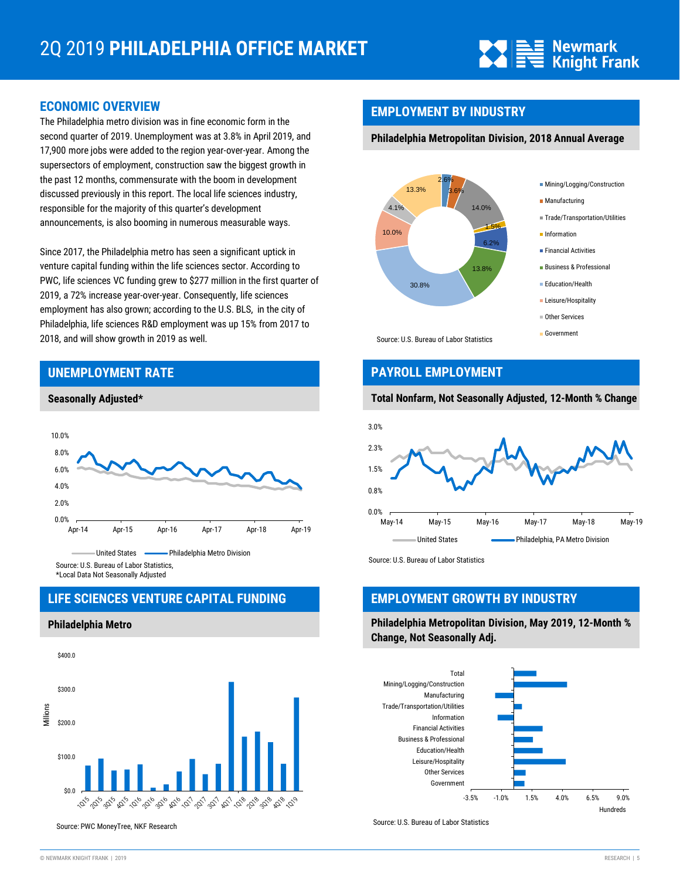

#### **ECONOMIC OVERVIEW**

The Philadelphia metro division was in fine economic form in the second quarter of 2019. Unemployment was at 3.8% in April 2019, and 17,900 more jobs were added to the region year-over-year. Among the supersectors of employment, construction saw the biggest growth in the past 12 months, commensurate with the boom in development discussed previously in this report. The local life sciences industry, responsible for the majority of this quarter's development announcements, is also booming in numerous measurable ways.

Since 2017, the Philadelphia metro has seen a significant uptick in venture capital funding within the life sciences sector. According to PWC, life sciences VC funding grew to \$277 million in the first quarter of 2019, a 72% increase year-over-year. Consequently, life sciences employment has also grown; according to the U.S. BLS, in the city of Philadelphia, life sciences R&D employment was up 15% from 2017 to 2018, and will show growth in 2019 as well.

#### **UNEMPLOYMENT RATE**





#### **LIFE SCIENCES VENTURE CAPITAL FUNDING**

**Philadelphia Metro**



Source: PWC MoneyTree, NKF Research

#### **EMPLOYMENT BY INDUSTRY**

#### **Philadelphia Metropolitan Division, 2018 Annual Average**



#### **PAYROLL EMPLOYMENT**

#### **Total Nonfarm, Not Seasonally Adjusted, 12-Month % Change**



Source: U.S. Bureau of Labor Statistics

#### **EMPLOYMENT GROWTH BY INDUSTRY**

**Philadelphia Metropolitan Division, May 2019, 12-Month % Change, Not Seasonally Adj.**



Source: U.S. Bureau of Labor Statistics